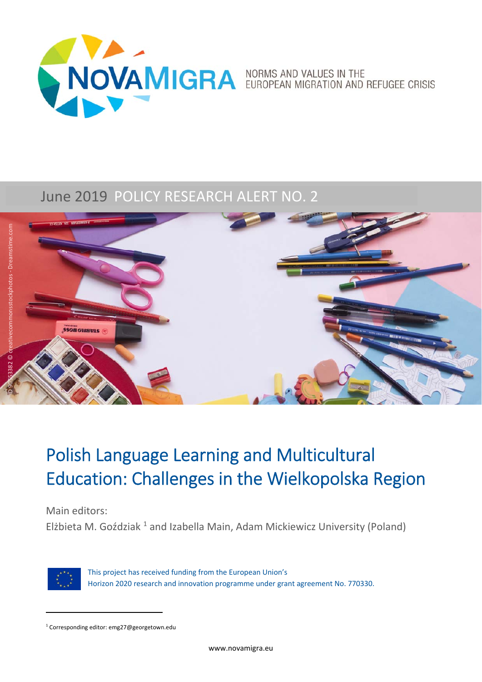

### June 2019 POLICY RESEARCH ALERT NO. 2



## Polish Language Learning and Multicultural Education: Challenges in the Wielkopolska Region

Main editors:

Elżbieta M. Goździak<sup>1</sup> and Izabella Main, Adam Mickiewicz University (Poland)



This project has received funding from the European Union's Horizon 2020 research and innovation programme under grant agreement No. 770330.

<sup>&</sup>lt;sup>1</sup> Corresponding editor: emg27@georgetown.edu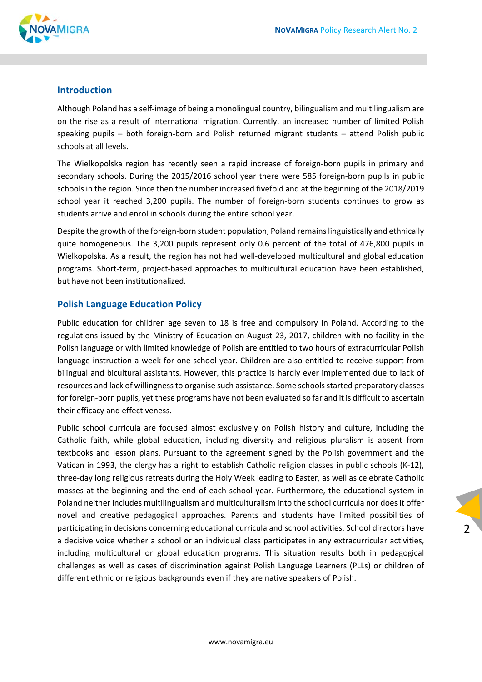

#### **Introduction**

Although Poland has a self‐image of being a monolingual country, bilingualism and multilingualism are on the rise as a result of international migration. Currently, an increased number of limited Polish speaking pupils – both foreign-born and Polish returned migrant students – attend Polish public schools at all levels.

The Wielkopolska region has recently seen a rapid increase of foreign-born pupils in primary and secondary schools. During the 2015/2016 school year there were 585 foreign-born pupils in public schools in the region. Since then the number increased fivefold and at the beginning of the 2018/2019 school year it reached 3,200 pupils. The number of foreign-born students continues to grow as students arrive and enrol in schools during the entire school year.

Despite the growth of the foreign‐born student population, Poland remains linguistically and ethnically quite homogeneous. The 3,200 pupils represent only 0.6 percent of the total of 476,800 pupils in Wielkopolska. As a result, the region has not had well‐developed multicultural and global education programs. Short-term, project-based approaches to multicultural education have been established, but have not been institutionalized.

#### **Polish Language Education Policy**

Public education for children age seven to 18 is free and compulsory in Poland. According to the regulations issued by the Ministry of Education on August 23, 2017, children with no facility in the Polish language or with limited knowledge of Polish are entitled to two hours of extracurricular Polish language instruction a week for one school year. Children are also entitled to receive support from bilingual and bicultural assistants. However, this practice is hardly ever implemented due to lack of resources and lack of willingness to organise such assistance. Some schools started preparatory classes for foreign‐born pupils, yet these programs have not been evaluated so far and it is difficult to ascertain their efficacy and effectiveness.

Public school curricula are focused almost exclusively on Polish history and culture, including the Catholic faith, while global education, including diversity and religious pluralism is absent from textbooks and lesson plans. Pursuant to the agreement signed by the Polish government and the Vatican in 1993, the clergy has a right to establish Catholic religion classes in public schools (K‐12), three‐day long religious retreats during the Holy Week leading to Easter, as well as celebrate Catholic masses at the beginning and the end of each school year. Furthermore, the educational system in Poland neither includes multilingualism and multiculturalism into the school curricula nor does it offer novel and creative pedagogical approaches. Parents and students have limited possibilities of participating in decisions concerning educational curricula and school activities. School directors have a decisive voice whether a school or an individual class participates in any extracurricular activities, including multicultural or global education programs. This situation results both in pedagogical challenges as well as cases of discrimination against Polish Language Learners (PLLs) or children of different ethnic or religious backgrounds even if they are native speakers of Polish.

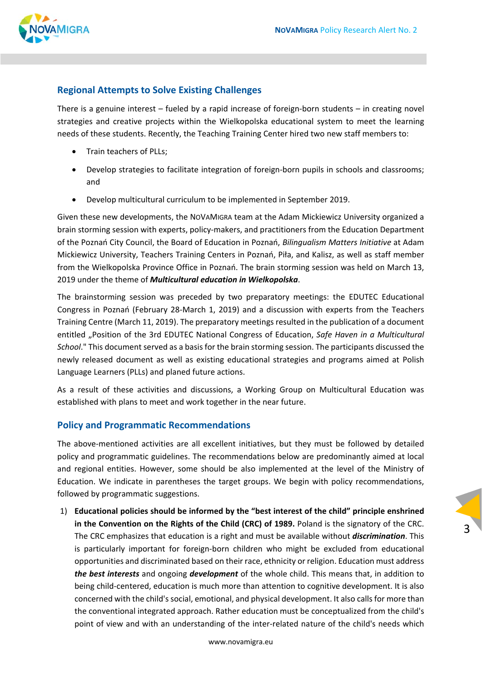3



#### **Regional Attempts to Solve Existing Challenges**

There is a genuine interest – fueled by a rapid increase of foreign-born students – in creating novel strategies and creative projects within the Wielkopolska educational system to meet the learning needs of these students. Recently, the Teaching Training Center hired two new staff members to:

- Train teachers of PLLs:
- Develop strategies to facilitate integration of foreign-born pupils in schools and classrooms; and
- Develop multicultural curriculum to be implemented in September 2019.

Given these new developments, the NOVAMIGRA team at the Adam Mickiewicz University organized a brain storming session with experts, policy‐makers, and practitioners from the Education Department of the Poznań City Council, the Board of Education in Poznań, *Bilingualism Matters Initiative* at Adam Mickiewicz University, Teachers Training Centers in Poznań, Piła, and Kalisz, as well as staff member from the Wielkopolska Province Office in Poznań. The brain storming session was held on March 13, 2019 under the theme of *Multicultural education in Wielkopolska*.

The brainstorming session was preceded by two preparatory meetings: the EDUTEC Educational Congress in Poznań (February 28‐March 1, 2019) and a discussion with experts from the Teachers Training Centre (March 11, 2019). The preparatory meetings resulted in the publication of a document entitled "Position of the 3rd EDUTEC National Congress of Education, *Safe Haven in a Multicultural School*." This document served as a basis for the brain storming session. The participants discussed the newly released document as well as existing educational strategies and programs aimed at Polish Language Learners (PLLs) and planed future actions.

As a result of these activities and discussions, a Working Group on Multicultural Education was established with plans to meet and work together in the near future.

#### **Policy and Programmatic Recommendations**

The above-mentioned activities are all excellent initiatives, but they must be followed by detailed policy and programmatic guidelines. The recommendations below are predominantly aimed at local and regional entities. However, some should be also implemented at the level of the Ministry of Education. We indicate in parentheses the target groups. We begin with policy recommendations, followed by programmatic suggestions.

1) **Educational policies should be informed by the "best interest of the child" principle enshrined in the Convention on the Rights of the Child (CRC) of 1989.** Poland is the signatory of the CRC. The CRC emphasizes that education is a right and must be available without *discrimination*. This is particularly important for foreign‐born children who might be excluded from educational opportunities and discriminated based on their race, ethnicity or religion. Education must address *the best interests* and ongoing *development* of the whole child. This means that, in addition to being child-centered, education is much more than attention to cognitive development. It is also concerned with the child's social, emotional, and physical development. It also calls for more than the conventional integrated approach. Rather education must be conceptualized from the child's point of view and with an understanding of the inter-related nature of the child's needs which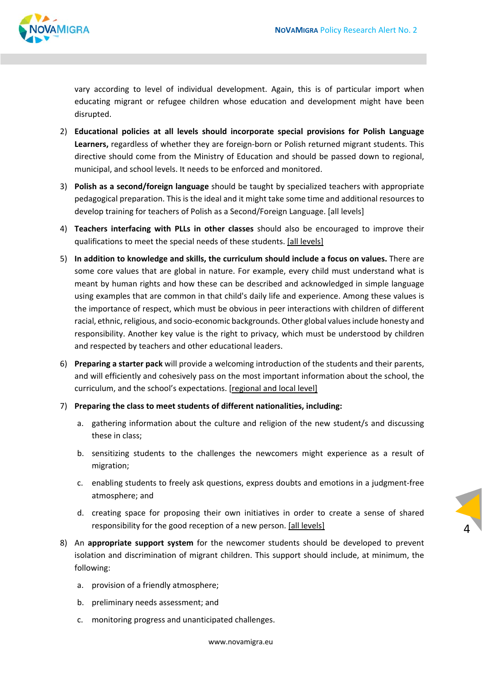

vary according to level of individual development. Again, this is of particular import when educating migrant or refugee children whose education and development might have been disrupted.

- 2) **Educational policies at all levels should incorporate special provisions for Polish Language**  Learners, regardless of whether they are foreign-born or Polish returned migrant students. This directive should come from the Ministry of Education and should be passed down to regional, municipal, and school levels. It needs to be enforced and monitored.
- 3) **Polish as a second/foreign language** should be taught by specialized teachers with appropriate pedagogical preparation. This is the ideal and it might take some time and additional resources to develop training for teachers of Polish as a Second/Foreign Language. [all levels]
- 4) **Teachers interfacing with PLLs in other classes** should also be encouraged to improve their qualifications to meet the special needs of these students. [all levels]
- 5) **In addition to knowledge and skills, the curriculum should include a focus on values.** There are some core values that are global in nature. For example, every child must understand what is meant by human rights and how these can be described and acknowledged in simple language using examples that are common in that child's daily life and experience. Among these values is the importance of respect, which must be obvious in peer interactions with children of different racial, ethnic, religious, and socio‐economic backgrounds. Other global values include honesty and responsibility. Another key value is the right to privacy, which must be understood by children and respected by teachers and other educational leaders.
- 6) **Preparing a starter pack** will provide a welcoming introduction of the students and their parents, and will efficiently and cohesively pass on the most important information about the school, the curriculum, and the school's expectations. [regional and local level]
- 7) **Preparing the class to meet students of different nationalities, including:**
	- a. gathering information about the culture and religion of the new student/s and discussing these in class;
	- b. sensitizing students to the challenges the newcomers might experience as a result of migration;
	- c. enabling students to freely ask questions, express doubts and emotions in a judgment‐free atmosphere; and
	- d. creating space for proposing their own initiatives in order to create a sense of shared responsibility for the good reception of a new person. [all levels]

4

- 8) An **appropriate support system** for the newcomer students should be developed to prevent isolation and discrimination of migrant children. This support should include, at minimum, the following:
	- a. provision of a friendly atmosphere;
	- b. preliminary needs assessment; and
	- c. monitoring progress and unanticipated challenges.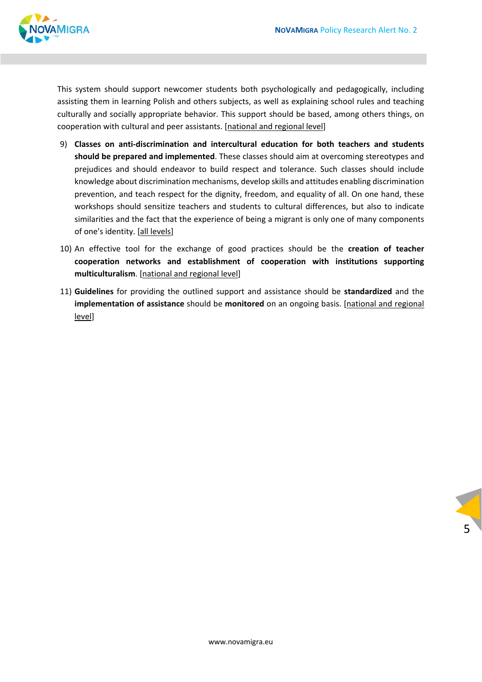

This system should support newcomer students both psychologically and pedagogically, including assisting them in learning Polish and others subjects, as well as explaining school rules and teaching culturally and socially appropriate behavior. This support should be based, among others things, on cooperation with cultural and peer assistants. [national and regional level]

- 9) **Classes on anti‐discrimination and intercultural education for both teachers and students should be prepared and implemented**. These classes should aim at overcoming stereotypes and prejudices and should endeavor to build respect and tolerance. Such classes should include knowledge about discrimination mechanisms, develop skills and attitudes enabling discrimination prevention, and teach respect for the dignity, freedom, and equality of all. On one hand, these workshops should sensitize teachers and students to cultural differences, but also to indicate similarities and the fact that the experience of being a migrant is only one of many components of one's identity. [all levels]
- 10) An effective tool for the exchange of good practices should be the **creation of teacher cooperation networks and establishment of cooperation with institutions supporting multiculturalism**. [national and regional level]
- 11) **Guidelines** for providing the outlined support and assistance should be **standardized** and the **implementation of assistance** should be **monitored** on an ongoing basis. [national and regional level]

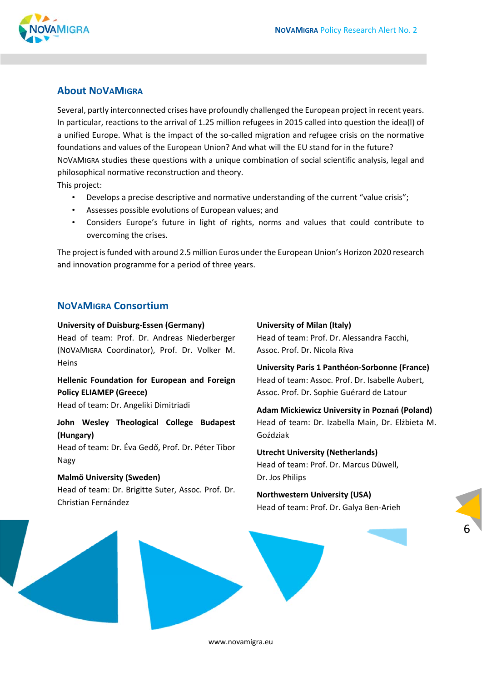#### **About NOVAMIGRA**

Several, partly interconnected crises have profoundly challenged the European project in recent years. In particular, reactions to the arrival of 1.25 million refugees in 2015 called into question the idea(l) of a unified Europe. What is the impact of the so-called migration and refugee crisis on the normative foundations and values of the European Union? And what will the EU stand for in the future? NOVAMIGRA studies these questions with a unique combination of social scientific analysis, legal and philosophical normative reconstruction and theory.

This project:

- Develops a precise descriptive and normative understanding of the current "value crisis";
- Assesses possible evolutions of European values; and
- Considers Europe's future in light of rights, norms and values that could contribute to overcoming the crises.

The project is funded with around 2.5 million Euros under the European Union's Horizon 2020 research and innovation programme for a period of three years.

#### **NOVAMIGRA Consortium**

#### **University of Duisburg‐Essen (Germany)**

Head of team: Prof. Dr. Andreas Niederberger (NOVAMIGRA Coordinator), Prof. Dr. Volker M. **Heins** 

**Hellenic Foundation for European and Foreign Policy ELIAMEP (Greece)** 

Head of team: Dr. Angeliki Dimitriadi

<u>and the state of the state of the state of the state of the state of the state of the state of the state of the state of the state of the state of the state of the state of the state of the state of the state of the state</u>

#### **John Wesley Theological College Budapest (Hungary)**

Head of team: Dr. Éva Gedő, Prof. Dr. Péter Tibor Nagy

#### **Malmö University (Sweden)**  Head of team: Dr. Brigitte Suter, Assoc. Prof. Dr. Christian Fernández

#### **University of Milan (Italy)**

Head of team: Prof. Dr. Alessandra Facchi, Assoc. Prof. Dr. Nicola Riva

**University Paris 1 Panthéon‐Sorbonne (France)**  Head of team: Assoc. Prof. Dr. Isabelle Aubert, Assoc. Prof. Dr. Sophie Guérard de Latour

**Adam Mickiewicz University in Poznań (Poland)**  Head of team: Dr. Izabella Main, Dr. Elżbieta M. Goździak

**Utrecht University (Netherlands)**  Head of team: Prof. Dr. Marcus Düwell, Dr. Jos Philips

#### **Northwestern University (USA)**  Head of team: Prof. Dr. Galya Ben‐Arieh

6

www.novamigra.eu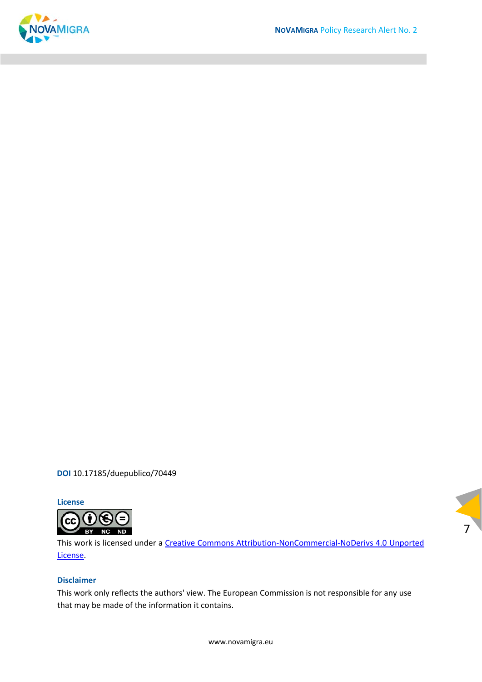

7

**DOI** [10.17185/duepublico/70449](https://doi.org/10.17185/duepublico/70449)

**License**



This work is licensed under a [Creative Commons Attribution‐NonCommercial‐NoDerivs 4.0 Unported](https://creativecommons.org/licenses/by-nc-nd/4.0/)  [License.](https://creativecommons.org/licenses/by-nc-nd/4.0/) 

#### **Disclaimer**

This work only reflects the authors' view. The European Commission is not responsible for any use that may be made of the information it contains.